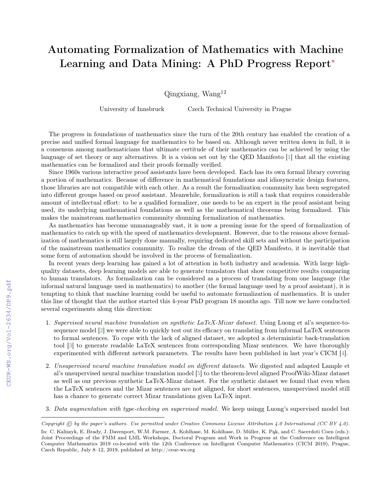## Automating Formalization of Mathematics with Machine Learning and Data Mining: A PhD Progress Report<sup>∗</sup>

 $Q$ ingxiang, Wang<sup>12</sup>

University of Innsbruck Czech Technical University in Prague

The progress in foundations of mathematics since the turn of the 20th century has enabled the creation of a precise and unified formal language for mathematics to be based on. Although never written down in full, it is a consensus among mathematicians that ultimate certitude of their mathematics can be achieved by using the language of set theory or any alternatives. It is a vision set out by the QED Manifesto [\[1\]](#page--1-0) that all the existing mathematics can be formalized and their proofs formally verified.

Since 1960s various interactive proof assistants have been developed. Each has its own formal library covering a portion of mathematics. Because of difference in mathematical foundations and idiosyncratic design features, those libraries are not compatible with each other. As a result the formalization community has been segregated into different groups based on proof assistant. Meanwhile, formalization is still a task that requires considerable amount of intellectual effort: to be a qualified formalizer, one needs to be an expert in the proof assistant being used, its underlying mathematical foundations as well as the mathematical theorems being formalized. This makes the mainstream mathematics community shunning formalization of mathematics.

As mathematics has become unmanageably vast, it is now a pressing issue for the speed of formalization of mathematics to catch up with the speed of mathematics development. However, due to the reasons above formalization of mathematics is still largely done manually, requiring dedicated skill sets and without the participation of the mainstream mathematics community. To realize the dream of the QED Manifesto, it is inevitable that some form of automation should be involved in the process of formalization.

In recent years deep learning has gained a lot of attention in both industry and academia. With large highquality datasets, deep learning models are able to generate translators that show competitive results comparing to human translators. As formalization can be considered as a process of translating from one language (the informal natural language used in mathematics) to another (the formal language used by a proof assistant), it is tempting to think that machine learning could be useful to automate formalization of mathematics. It is under this line of thought that the author started this 4-year PhD program 18 months ago. Till now we have conducted several experiments along this direction:

- 1. Supervised neural machine translation on synthetic LaTeX-Mizar dataset. Using Luong et al's sequence-tosequence model [\[2\]](#page--1-1) we were able to quickly test out its efficacy on translating from informal LaTeX sentences to formal sentences. To cope with the lack of aligned dataset, we adopted a deterministic back-translation tool [\[3\]](#page--1-2) to generate readable LaTeX sentences from corresponding Mizar sentences. We have thoroughly experimented with different network parameters. The results have been published in last year's CICM [\[4\]](#page--1-3).
- 2. Unsupervised neural machine translation model on different datasets. We digested and adapted Lample et al's unsupervised neural machine translation model [\[5\]](#page--1-4) to the theorem-level aligned ProofWiki-Mizar dataset as well as our previous synthetic LaTeX-Mizar dataset. For the synthetic dataset we found that even when the LaTeX sentences and the Mizar sentences are not aligned, for short sentences, unsupervised model still has a chance to generate correct Mizar translations given LaTeX input.
- 3. Data augmentation with type-checking on supervised model. We keep usingg Luong's supervised model but

Copyright  $\odot$  by the paper's authors. Use permitted under Creative Commons License Attribution 4.0 International (CC BY 4.0).

In: C. Kaliszyk, E. Brady, J. Davenport, W.M. Farmer, A. Kohlhase, M. Kohlhase, D. Müller, K. Pąk, and C. Sacerdoti Coen (eds.): Joint Proceedings of the FMM and LML Workshops, Doctoral Program and Work in Progress at the Conference on Intelligent Computer Mathematics 2019 co-located with the 12th Conference on Intelligent Computer Mathematics (CICM 2019), Prague, Czech Republic, July 8–12, 2019, published at http://ceur-ws.org